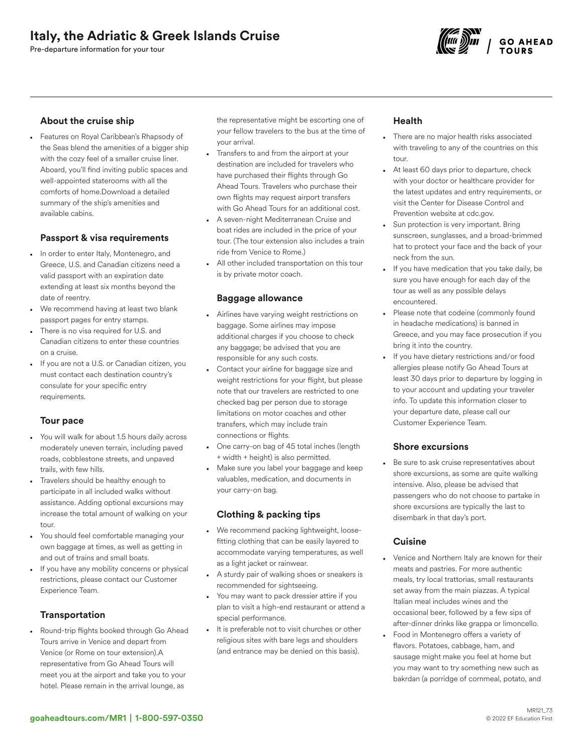# Italy, the Adriatic & Greek Islands Cruise

Pre-departure information for your tour



# About the cruise ship

• Features on Royal Caribbean's Rhapsody of the Seas blend the amenities of a bigger ship with the cozy feel of a smaller cruise liner. Aboard, you'll find inviting public spaces and well-appointed staterooms with all the comforts of home.Download a detailed summary of the ship's amenities and available cabins.

# Passport & visa requirements

- In order to enter Italy, Montenegro, and Greece, U.S. and Canadian citizens need a valid passport with an expiration date extending at least six months beyond the date of reentry.
- We recommend having at least two blank passport pages for entry stamps.
- There is no visa required for U.S. and Canadian citizens to enter these countries on a cruise.
- If you are not a U.S. or Canadian citizen, you must contact each destination country's consulate for your specific entry requirements.

#### Tour pace

- You will walk for about 1.5 hours daily across moderately uneven terrain, including paved roads, cobblestone streets, and unpaved trails, with few hills.
- Travelers should be healthy enough to participate in all included walks without assistance. Adding optional excursions may increase the total amount of walking on your tour.
- You should feel comfortable managing your own baggage at times, as well as getting in and out of trains and small boats.
- If you have any mobility concerns or physical restrictions, please contact our Customer Experience Team.

# **Transportation**

• Round-trip flights booked through Go Ahead Tours arrive in Venice and depart from Venice (or Rome on tour extension).A representative from Go Ahead Tours will meet you at the airport and take you to your hotel. Please remain in the arrival lounge, as

the representative might be escorting one of your fellow travelers to the bus at the time of your arrival.

- Transfers to and from the airport at your destination are included for travelers who have purchased their flights through Go Ahead Tours. Travelers who purchase their own flights may request airport transfers with Go Ahead Tours for an additional cost.
- A seven-night Mediterranean Cruise and boat rides are included in the price of your tour. (The tour extension also includes a train ride from Venice to Rome.)
- All other included transportation on this tour is by private motor coach.

#### Baggage allowance

- Airlines have varying weight restrictions on baggage. Some airlines may impose additional charges if you choose to check any baggage; be advised that you are responsible for any such costs.
- Contact your airline for baggage size and weight restrictions for your flight, but please note that our travelers are restricted to one checked bag per person due to storage limitations on motor coaches and other transfers, which may include train connections or flights.
- One carry-on bag of 45 total inches (length + width + height) is also permitted.
- Make sure you label your baggage and keep valuables, medication, and documents in your carry-on bag.

#### Clothing & packing tips

- We recommend packing lightweight, loosefitting clothing that can be easily layered to accommodate varying temperatures, as well as a light jacket or rainwear.
- A sturdy pair of walking shoes or sneakers is recommended for sightseeing.
- You may want to pack dressier attire if you plan to visit a high-end restaurant or attend a special performance.
- It is preferable not to visit churches or other religious sites with bare legs and shoulders (and entrance may be denied on this basis).

# Health

- There are no major health risks associated with traveling to any of the countries on this tour.
- At least 60 days prior to departure, check with your doctor or healthcare provider for the latest updates and entry requirements, or visit the Center for Disease Control and Prevention website at cdc.gov.
- Sun protection is very important. Bring sunscreen, sunglasses, and a broad-brimmed hat to protect your face and the back of your neck from the sun.
- If you have medication that you take daily, be sure you have enough for each day of the tour as well as any possible delays encountered.
- Please note that codeine (commonly found in headache medications) is banned in Greece, and you may face prosecution if you bring it into the country.
- If you have dietary restrictions and/or food allergies please notify Go Ahead Tours at least 30 days prior to departure by logging in to your account and updating your traveler info. To update this information closer to your departure date, please call our Customer Experience Team.

# Shore excursions

• Be sure to ask cruise representatives about shore excursions, as some are quite walking intensive. Also, please be advised that passengers who do not choose to partake in shore excursions are typically the last to disembark in that day's port.

#### **Cuisine**

- Venice and Northern Italy are known for their meats and pastries. For more authentic meals, try local trattorias, small restaurants set away from the main piazzas. A typical Italian meal includes wines and the occasional beer, followed by a few sips of after-dinner drinks like grappa or limoncello.
- Food in Montenegro offers a variety of flavors. Potatoes, cabbage, ham, and sausage might make you feel at home but you may want to try something new such as bakrdan (a porridge of cornmeal, potato, and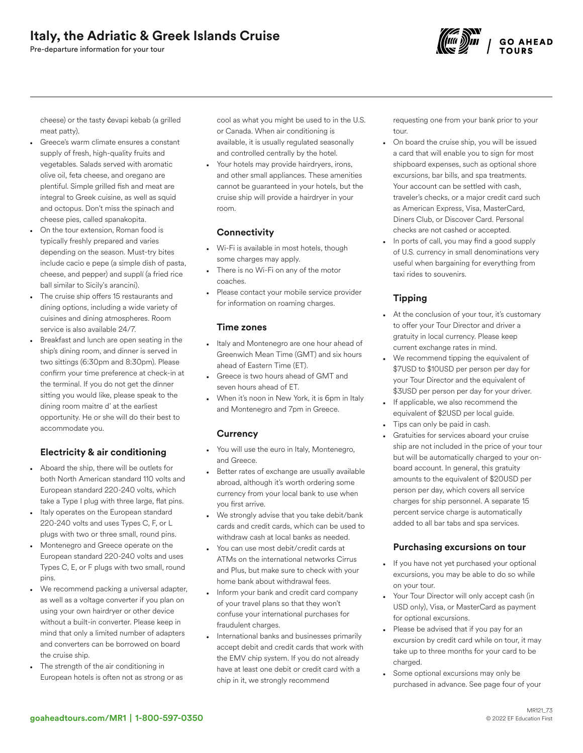Pre-departure information for your tour



cheese) or the tasty ćevapi kebab (a grilled meat patty).

- Greece's warm climate ensures a constant supply of fresh, high-quality fruits and vegetables. Salads served with aromatic olive oil, feta cheese, and oregano are plentiful. Simple grilled fish and meat are integral to Greek cuisine, as well as squid and octopus. Don't miss the spinach and cheese pies, called spanakopita.
- On the tour extension, Roman food is typically freshly prepared and varies depending on the season. Must-try bites include cacio e pepe (a simple dish of pasta, cheese, and pepper) and supplí (a fried rice ball similar to Sicily's arancini).
- The cruise ship offers 15 restaurants and dining options, including a wide variety of cuisines and dining atmospheres. Room service is also available 24/7.
- Breakfast and lunch are open seating in the ship's dining room, and dinner is served in two sittings (6:30pm and 8:30pm). Please confirm your time preference at check-in at the terminal. If you do not get the dinner sitting you would like, please speak to the dining room maitre d' at the earliest opportunity. He or she will do their best to accommodate you.

# Electricity & air conditioning

- Aboard the ship, there will be outlets for both North American standard 110 volts and European standard 220-240 volts, which take a Type I plug with three large, flat pins.
- Italy operates on the European standard 220-240 volts and uses Types C, F, or L plugs with two or three small, round pins.
- Montenegro and Greece operate on the European standard 220-240 volts and uses Types C, E, or F plugs with two small, round pins.
- We recommend packing a universal adapter, as well as a voltage converter if you plan on using your own hairdryer or other device without a built-in converter. Please keep in mind that only a limited number of adapters and converters can be borrowed on board the cruise ship.
- The strength of the air conditioning in European hotels is often not as strong or as

cool as what you might be used to in the U.S. or Canada. When air conditioning is available, it is usually regulated seasonally and controlled centrally by the hotel.

Your hotels may provide hairdryers, irons, and other small appliances. These amenities cannot be guaranteed in your hotels, but the cruise ship will provide a hairdryer in your room.

# **Connectivity**

- Wi-Fi is available in most hotels, though some charges may apply.
- There is no Wi-Fi on any of the motor coaches.
- Please contact your mobile service provider for information on roaming charges.

# Time zones

- Italy and Montenegro are one hour ahead of Greenwich Mean Time (GMT) and six hours ahead of Eastern Time (ET).
- Greece is two hours ahead of GMT and seven hours ahead of ET.
- When it's noon in New York, it is 6pm in Italy and Montenegro and 7pm in Greece.

# **Currency**

- You will use the euro in Italy, Montenegro, and Greece.
- Better rates of exchange are usually available abroad, although it's worth ordering some currency from your local bank to use when you first arrive.
- We strongly advise that you take debit/bank cards and credit cards, which can be used to withdraw cash at local banks as needed.
- You can use most debit/credit cards at ATMs on the international networks Cirrus and Plus, but make sure to check with your home bank about withdrawal fees.
- Inform your bank and credit card company of your travel plans so that they won't confuse your international purchases for fraudulent charges.
- International banks and businesses primarily accept debit and credit cards that work with the EMV chip system. If you do not already have at least one debit or credit card with a chip in it, we strongly recommend

requesting one from your bank prior to your tour.

- On board the cruise ship, you will be issued a card that will enable you to sign for most shipboard expenses, such as optional shore excursions, bar bills, and spa treatments. Your account can be settled with cash, traveler's checks, or a major credit card such as American Express, Visa, MasterCard, Diners Club, or Discover Card. Personal checks are not cashed or accepted.
- In ports of call, you may find a good supply of U.S. currency in small denominations very useful when bargaining for everything from taxi rides to souvenirs.

# Tipping

- At the conclusion of your tour, it's customary to offer your Tour Director and driver a gratuity in local currency. Please keep current exchange rates in mind.
- We recommend tipping the equivalent of \$7USD to \$10USD per person per day for your Tour Director and the equivalent of \$3USD per person per day for your driver.
- If applicable, we also recommend the equivalent of \$2USD per local guide.
- Tips can only be paid in cash.
- Gratuities for services aboard your cruise ship are not included in the price of your tour but will be automatically charged to your onboard account. In general, this gratuity amounts to the equivalent of \$20USD per person per day, which covers all service charges for ship personnel. A separate 15 percent service charge is automatically added to all bar tabs and spa services.

# Purchasing excursions on tour

- If you have not yet purchased your optional excursions, you may be able to do so while on your tour.
- Your Tour Director will only accept cash (in USD only), Visa, or MasterCard as payment for optional excursions.
- Please be advised that if you pay for an excursion by credit card while on tour, it may take up to three months for your card to be charged.
- Some optional excursions may only be purchased in advance. See page four of your